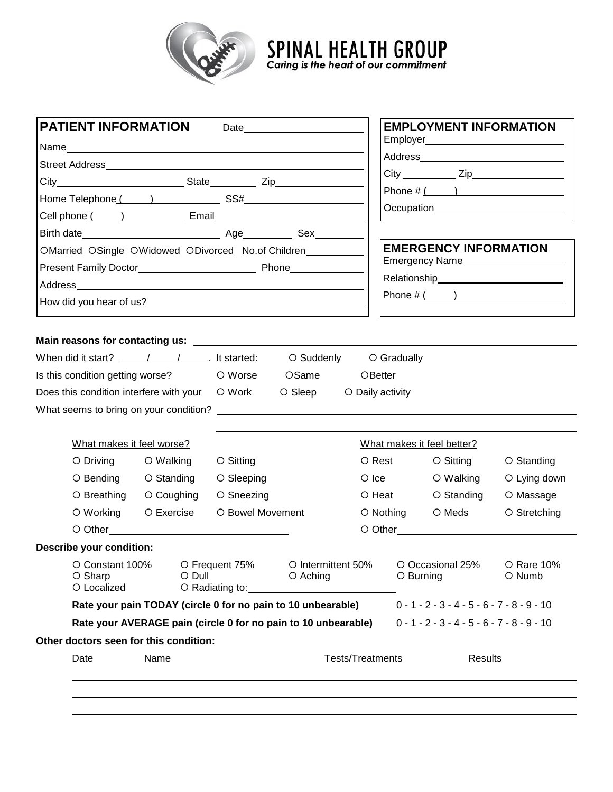

**SPINAL HEALTH GROUP**<br>Caring is the heart of our commitment

| <b>PATIENT INFORMATION</b><br>Date                  |                                                        |                                                                                                                                                                                                                                |                  |                                                                |                  | <b>EMPLOYMENT INFORMATION</b>                                                                                                                                                                                                          |                                              |                                        |
|-----------------------------------------------------|--------------------------------------------------------|--------------------------------------------------------------------------------------------------------------------------------------------------------------------------------------------------------------------------------|------------------|----------------------------------------------------------------|------------------|----------------------------------------------------------------------------------------------------------------------------------------------------------------------------------------------------------------------------------------|----------------------------------------------|----------------------------------------|
|                                                     |                                                        |                                                                                                                                                                                                                                |                  |                                                                |                  |                                                                                                                                                                                                                                        |                                              | Employer_____________________________  |
|                                                     |                                                        |                                                                                                                                                                                                                                |                  |                                                                |                  |                                                                                                                                                                                                                                        |                                              |                                        |
|                                                     |                                                        |                                                                                                                                                                                                                                |                  |                                                                |                  |                                                                                                                                                                                                                                        |                                              |                                        |
|                                                     |                                                        |                                                                                                                                                                                                                                |                  |                                                                |                  | Phone $\#\left(\begin{array}{c} \begin{array}{c} \end{array}\\ \end{array}\right)$                                                                                                                                                     |                                              |                                        |
|                                                     |                                                        |                                                                                                                                                                                                                                |                  |                                                                |                  |                                                                                                                                                                                                                                        |                                              | Occupation____________________________ |
|                                                     |                                                        |                                                                                                                                                                                                                                |                  | Birth date <b>Example 2018</b> Age <b>CONSIDER Age Sex</b>     |                  |                                                                                                                                                                                                                                        |                                              |                                        |
| OMarried OSingle OWidowed ODivorced No.of Children_ |                                                        |                                                                                                                                                                                                                                |                  |                                                                |                  | <b>EMERGENCY INFORMATION</b>                                                                                                                                                                                                           |                                              |                                        |
|                                                     |                                                        |                                                                                                                                                                                                                                |                  |                                                                |                  | Emergency Name<br><u>[</u> [11] Demonstration of the Manus Contract of the Manus Contract of the Manus Contract of the Manus Contract of the Manus Contract of the Manus Contract of the Manus Contract of the Manus Contract of the M |                                              |                                        |
|                                                     |                                                        |                                                                                                                                                                                                                                |                  |                                                                |                  |                                                                                                                                                                                                                                        |                                              |                                        |
|                                                     |                                                        |                                                                                                                                                                                                                                |                  | How did you hear of us?                                        |                  |                                                                                                                                                                                                                                        |                                              | Phone $\#$ ( )                         |
|                                                     |                                                        |                                                                                                                                                                                                                                |                  |                                                                |                  |                                                                                                                                                                                                                                        |                                              |                                        |
|                                                     |                                                        |                                                                                                                                                                                                                                |                  |                                                                |                  |                                                                                                                                                                                                                                        |                                              |                                        |
|                                                     |                                                        |                                                                                                                                                                                                                                |                  | Is this condition getting worse? OWorse OSame OBetter          |                  |                                                                                                                                                                                                                                        |                                              |                                        |
|                                                     |                                                        | Does this condition interfere with your O Work                                                                                                                                                                                 |                  | $\circ$ Sleep                                                  | O Daily activity |                                                                                                                                                                                                                                        |                                              |                                        |
|                                                     |                                                        |                                                                                                                                                                                                                                |                  |                                                                |                  |                                                                                                                                                                                                                                        |                                              |                                        |
|                                                     | What makes it feel worse?                              |                                                                                                                                                                                                                                |                  |                                                                |                  |                                                                                                                                                                                                                                        | What makes it feel better?                   |                                        |
|                                                     | $\circ$ Driving                                        | O Walking                                                                                                                                                                                                                      | O Sitting        |                                                                |                  | O Rest                                                                                                                                                                                                                                 | O Sitting                                    | $\circ$ Standing                       |
|                                                     | O Bending                                              | O Standing                                                                                                                                                                                                                     | O Sleeping       |                                                                |                  | $\bigcirc$ Ice                                                                                                                                                                                                                         | O Walking                                    | O Lying down                           |
|                                                     |                                                        | O Breathing O Coughing                                                                                                                                                                                                         | ○ Sneezing       |                                                                |                  | O Heat                                                                                                                                                                                                                                 | O Standing                                   | O Massage                              |
|                                                     | $\circ$ Working                                        | O Exercise                                                                                                                                                                                                                     | O Bowel Movement |                                                                |                  | $\circ$ Nothing                                                                                                                                                                                                                        | O Meds                                       | O Stretching                           |
|                                                     |                                                        | O Other Quality of Contract Contract Contract Contract Contract Contract Contract Contract Contract Contract Contract Contract Contract Contract Contract Contract Contract Contract Contract Contract Contract Contract Contr |                  |                                                                |                  |                                                                                                                                                                                                                                        |                                              |                                        |
|                                                     |                                                        |                                                                                                                                                                                                                                |                  |                                                                |                  |                                                                                                                                                                                                                                        |                                              |                                        |
|                                                     | <b>Describe your condition:</b><br>$O$ Dull<br>O Sharp |                                                                                                                                                                                                                                |                  | O Aching                                                       |                  | O Constant 100% O Frequent 75% O Intermittent 50% O Occasional 25% O Rare 10%<br>O Burning                                                                                                                                             |                                              | O Numb                                 |
|                                                     | O Localized                                            |                                                                                                                                                                                                                                |                  |                                                                |                  |                                                                                                                                                                                                                                        |                                              |                                        |
|                                                     |                                                        |                                                                                                                                                                                                                                |                  | Rate your pain TODAY (circle 0 for no pain to 10 unbearable)   |                  |                                                                                                                                                                                                                                        | $0 - 1 - 2 - 3 - 4 - 5 - 6 - 7 - 8 - 9 - 10$ |                                        |
|                                                     |                                                        |                                                                                                                                                                                                                                |                  | Rate your AVERAGE pain (circle 0 for no pain to 10 unbearable) |                  |                                                                                                                                                                                                                                        | $0 - 1 - 2 - 3 - 4 - 5 - 6 - 7 - 8 - 9 - 10$ |                                        |
|                                                     |                                                        | Other doctors seen for this condition:                                                                                                                                                                                         |                  |                                                                |                  |                                                                                                                                                                                                                                        |                                              |                                        |
|                                                     |                                                        |                                                                                                                                                                                                                                |                  |                                                                |                  | <b>Tests/Treatments</b>                                                                                                                                                                                                                | <b>Results</b>                               |                                        |